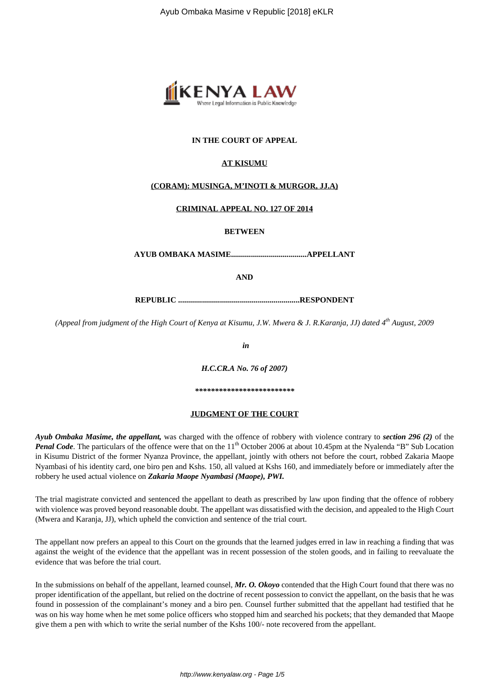

## **IN THE COURT OF APPEAL**

### **AT KISUMU**

### **(CORAM): MUSINGA, M'INOTI & MURGOR, JJ.A)**

### **CRIMINAL APPEAL NO. 127 OF 2014**

**BETWEEN**

**AYUB OMBAKA MASIME......................................APPELLANT**

**AND**

**REPUBLIC .............................................................RESPONDENT**

*(Appeal from judgment of the High Court of Kenya at Kisumu, J.W. Mwera & J. R.Karanja, JJ) dated 4th August, 2009*

*in*

*H.C.CR.A No. 76 of 2007)*

*\*\*\*\*\*\*\*\*\*\*\*\*\*\*\*\*\*\*\*\*\*\*\*\*\**

#### **JUDGMENT OF THE COURT**

*Ayub Ombaka Masime, the appellant,* was charged with the offence of robbery with violence contrary to *section 296 (2)* of the *Penal Code*. The particulars of the offence were that on the 11<sup>th</sup> October 2006 at about 10.45pm at the Nyalenda "B" Sub Location in Kisumu District of the former Nyanza Province, the appellant, jointly with others not before the court, robbed Zakaria Maope Nyambasi of his identity card, one biro pen and Kshs. 150, all valued at Kshs 160, and immediately before or immediately after the robbery he used actual violence on *Zakaria Maope Nyambasi (Maope), PWI.*

The trial magistrate convicted and sentenced the appellant to death as prescribed by law upon finding that the offence of robbery with violence was proved beyond reasonable doubt. The appellant was dissatisfied with the decision, and appealed to the High Court (Mwera and Karanja, JJ), which upheld the conviction and sentence of the trial court.

The appellant now prefers an appeal to this Court on the grounds that the learned judges erred in law in reaching a finding that was against the weight of the evidence that the appellant was in recent possession of the stolen goods, and in failing to reevaluate the evidence that was before the trial court.

In the submissions on behalf of the appellant, learned counsel, *Mr. O. Okoyo* contended that the High Court found that there was no proper identification of the appellant, but relied on the doctrine of recent possession to convict the appellant, on the basis that he was found in possession of the complainant's money and a biro pen. Counsel further submitted that the appellant had testified that he was on his way home when he met some police officers who stopped him and searched his pockets; that they demanded that Maope give them a pen with which to write the serial number of the Kshs 100/- note recovered from the appellant.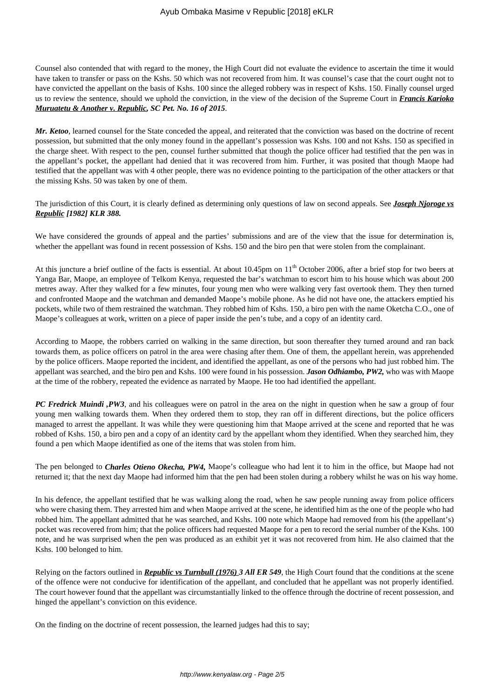Counsel also contended that with regard to the money, the High Court did not evaluate the evidence to ascertain the time it would have taken to transfer or pass on the Kshs. 50 which was not recovered from him. It was counsel's case that the court ought not to have convicted the appellant on the basis of Kshs. 100 since the alleged robbery was in respect of Kshs. 150. Finally counsel urged us to review the sentence, should we uphold the conviction, in the view of the decision of the Supreme Court in *Francis Karioko Muruatetu & Another v. Republic, SC Pet. No. 16 of 2015*.

*Mr. Ketoo*, learned counsel for the State conceded the appeal, and reiterated that the conviction was based on the doctrine of recent possession, but submitted that the only money found in the appellant's possession was Kshs. 100 and not Kshs. 150 as specified in the charge sheet. With respect to the pen, counsel further submitted that though the police officer had testified that the pen was in the appellant's pocket, the appellant had denied that it was recovered from him. Further, it was posited that though Maope had testified that the appellant was with 4 other people, there was no evidence pointing to the participation of the other attackers or that the missing Kshs. 50 was taken by one of them.

The jurisdiction of this Court, it is clearly defined as determining only questions of law on second appeals. See *Joseph Njoroge vs Republic [1982] KLR 388.*

We have considered the grounds of appeal and the parties' submissions and are of the view that the issue for determination is, whether the appellant was found in recent possession of Kshs. 150 and the biro pen that were stolen from the complainant.

At this juncture a brief outline of the facts is essential. At about 10.45pm on 11<sup>th</sup> October 2006, after a brief stop for two beers at Yanga Bar, Maope, an employee of Telkom Kenya, requested the bar's watchman to escort him to his house which was about 200 metres away. After they walked for a few minutes, four young men who were walking very fast overtook them. They then turned and confronted Maope and the watchman and demanded Maope's mobile phone. As he did not have one, the attackers emptied his pockets, while two of them restrained the watchman. They robbed him of Kshs. 150, a biro pen with the name Oketcha C.O., one of Maope's colleagues at work, written on a piece of paper inside the pen's tube, and a copy of an identity card.

According to Maope, the robbers carried on walking in the same direction, but soon thereafter they turned around and ran back towards them, as police officers on patrol in the area were chasing after them. One of them, the appellant herein, was apprehended by the police officers. Maope reported the incident, and identified the appellant, as one of the persons who had just robbed him. The appellant was searched, and the biro pen and Kshs. 100 were found in his possession. *Jason Odhiambo, PW2,* who was with Maope at the time of the robbery, repeated the evidence as narrated by Maope. He too had identified the appellant.

*PC Fredrick Muindi ,PW3*, and his colleagues were on patrol in the area on the night in question when he saw a group of four young men walking towards them. When they ordered them to stop, they ran off in different directions, but the police officers managed to arrest the appellant. It was while they were questioning him that Maope arrived at the scene and reported that he was robbed of Kshs. 150, a biro pen and a copy of an identity card by the appellant whom they identified. When they searched him, they found a pen which Maope identified as one of the items that was stolen from him.

The pen belonged to *Charles Otieno Okecha, PW4,* Maope's colleague who had lent it to him in the office, but Maope had not returned it; that the next day Maope had informed him that the pen had been stolen during a robbery whilst he was on his way home.

In his defence, the appellant testified that he was walking along the road, when he saw people running away from police officers who were chasing them. They arrested him and when Maope arrived at the scene, he identified him as the one of the people who had robbed him. The appellant admitted that he was searched, and Kshs. 100 note which Maope had removed from his (the appellant's) pocket was recovered from him; that the police officers had requested Maope for a pen to record the serial number of the Kshs. 100 note, and he was surprised when the pen was produced as an exhibit yet it was not recovered from him. He also claimed that the Kshs. 100 belonged to him.

Relying on the factors outlined in *Republic vs Turnbull (1976) 3 All ER 549*, the High Court found that the conditions at the scene of the offence were not conducive for identification of the appellant, and concluded that he appellant was not properly identified. The court however found that the appellant was circumstantially linked to the offence through the doctrine of recent possession, and hinged the appellant's conviction on this evidence.

On the finding on the doctrine of recent possession, the learned judges had this to say;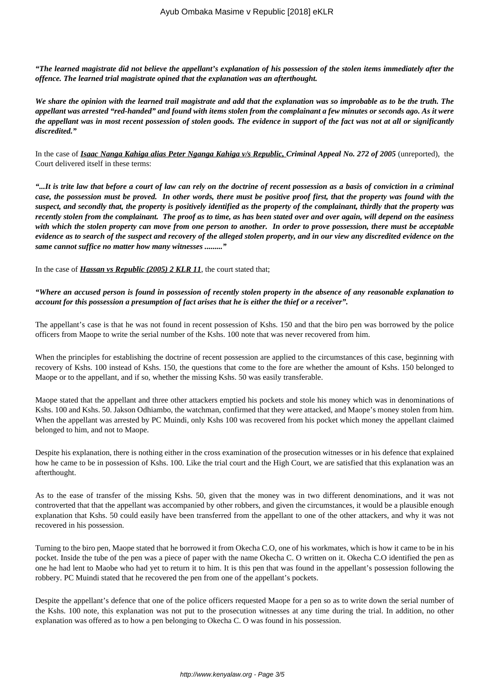*"The learned magistrate did not believe the appellant's explanation of his possession of the stolen items immediately after the offence. The learned trial magistrate opined that the explanation was an afterthought.* 

*We share the opinion with the learned trail magistrate and add that the explanation was so improbable as to be the truth. The appellant was arrested "red-handed" and found with items stolen from the complainant a few minutes or seconds ago. As it were the appellant was in most recent possession of stolen goods. The evidence in support of the fact was not at all or significantly discredited."*

In the case of *Isaac Nanga Kahiga alias Peter Nganga Kahiga v/s Republic, Criminal Appeal No. 272 of 2005* (unreported), the Court delivered itself in these terms:

*"...It is trite law that before a court of law can rely on the doctrine of recent possession as a basis of conviction in a criminal case, the possession must be proved. In other words, there must be positive proof first, that the property was found with the suspect, and secondly that, the property is positively identified as the property of the complainant, thirdly that the property was recently stolen from the complainant. The proof as to time, as has been stated over and over again, will depend on the easiness with which the stolen property can move from one person to another. In order to prove possession, there must be acceptable evidence as to search of the suspect and recovery of the alleged stolen property, and in our view any discredited evidence on the same cannot suffice no matter how many witnesses ........."*

In the case of *Hassan vs Republic (2005) 2 KLR 11*, the court stated that;

# *"Where an accused person is found in possession of recently stolen property in the absence of any reasonable explanation to account for this possession a presumption of fact arises that he is either the thief or a receiver".*

The appellant's case is that he was not found in recent possession of Kshs. 150 and that the biro pen was borrowed by the police officers from Maope to write the serial number of the Kshs. 100 note that was never recovered from him.

When the principles for establishing the doctrine of recent possession are applied to the circumstances of this case, beginning with recovery of Kshs. 100 instead of Kshs. 150, the questions that come to the fore are whether the amount of Kshs. 150 belonged to Maope or to the appellant, and if so, whether the missing Kshs. 50 was easily transferable.

Maope stated that the appellant and three other attackers emptied his pockets and stole his money which was in denominations of Kshs. 100 and Kshs. 50. Jakson Odhiambo, the watchman, confirmed that they were attacked, and Maope's money stolen from him. When the appellant was arrested by PC Muindi, only Kshs 100 was recovered from his pocket which money the appellant claimed belonged to him, and not to Maope.

Despite his explanation, there is nothing either in the cross examination of the prosecution witnesses or in his defence that explained how he came to be in possession of Kshs. 100. Like the trial court and the High Court, we are satisfied that this explanation was an afterthought.

As to the ease of transfer of the missing Kshs. 50, given that the money was in two different denominations, and it was not controverted that that the appellant was accompanied by other robbers, and given the circumstances, it would be a plausible enough explanation that Kshs. 50 could easily have been transferred from the appellant to one of the other attackers, and why it was not recovered in his possession.

Turning to the biro pen, Maope stated that he borrowed it from Okecha C.O, one of his workmates, which is how it came to be in his pocket. Inside the tube of the pen was a piece of paper with the name Okecha C. O written on it. Okecha C.O identified the pen as one he had lent to Maobe who had yet to return it to him. It is this pen that was found in the appellant's possession following the robbery. PC Muindi stated that he recovered the pen from one of the appellant's pockets.

Despite the appellant's defence that one of the police officers requested Maope for a pen so as to write down the serial number of the Kshs. 100 note, this explanation was not put to the prosecution witnesses at any time during the trial. In addition, no other explanation was offered as to how a pen belonging to Okecha C. O was found in his possession.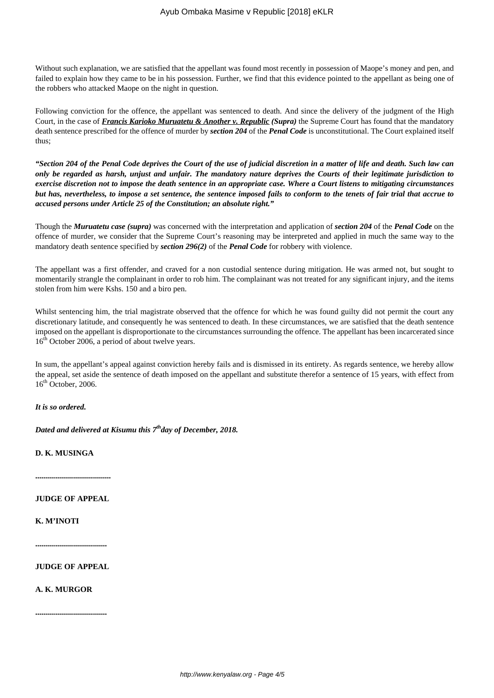Without such explanation, we are satisfied that the appellant was found most recently in possession of Maope's money and pen, and failed to explain how they came to be in his possession. Further, we find that this evidence pointed to the appellant as being one of the robbers who attacked Maope on the night in question.

Following conviction for the offence, the appellant was sentenced to death. And since the delivery of the judgment of the High Court, in the case of *Francis Karioko Muruatetu & Another v. Republic (Supra)* the Supreme Court has found that the mandatory death sentence prescribed for the offence of murder by *section 204* of the *Penal Code* is unconstitutional. The Court explained itself thus;

*"Section 204 of the Penal Code deprives the Court of the use of judicial discretion in a matter of life and death. Such law can only be regarded as harsh, unjust and unfair. The mandatory nature deprives the Courts of their legitimate jurisdiction to exercise discretion not to impose the death sentence in an appropriate case. Where a Court listens to mitigating circumstances but has, nevertheless, to impose a set sentence, the sentence imposed fails to conform to the tenets of fair trial that accrue to accused persons under Article 25 of the Constitution; an absolute right."* 

Though the *Muruatetu case (supra)* was concerned with the interpretation and application of *section 204* of the *Penal Code* on the offence of murder, we consider that the Supreme Court's reasoning may be interpreted and applied in much the same way to the mandatory death sentence specified by *section 296(2)* of the *Penal Code* for robbery with violence.

The appellant was a first offender, and craved for a non custodial sentence during mitigation. He was armed not, but sought to momentarily strangle the complainant in order to rob him. The complainant was not treated for any significant injury, and the items stolen from him were Kshs. 150 and a biro pen.

Whilst sentencing him, the trial magistrate observed that the offence for which he was found guilty did not permit the court any discretionary latitude, and consequently he was sentenced to death. In these circumstances, we are satisfied that the death sentence imposed on the appellant is disproportionate to the circumstances surrounding the offence. The appellant has been incarcerated since 16<sup>th</sup> October 2006, a period of about twelve years.

In sum, the appellant's appeal against conviction hereby fails and is dismissed in its entirety. As regards sentence, we hereby allow the appeal, set aside the sentence of death imposed on the appellant and substitute therefor a sentence of 15 years, with effect from  $16<sup>th</sup>$  October, 2006.

*It is so ordered.*

*Dated and delivered at Kisumu this 7thday of December, 2018.*

**D. K. MUSINGA**

**......................................**

**JUDGE OF APPEAL**

**K. M'INOTI**

**....................................**

**JUDGE OF APPEAL**

**A. K. MURGOR**

**....................................**